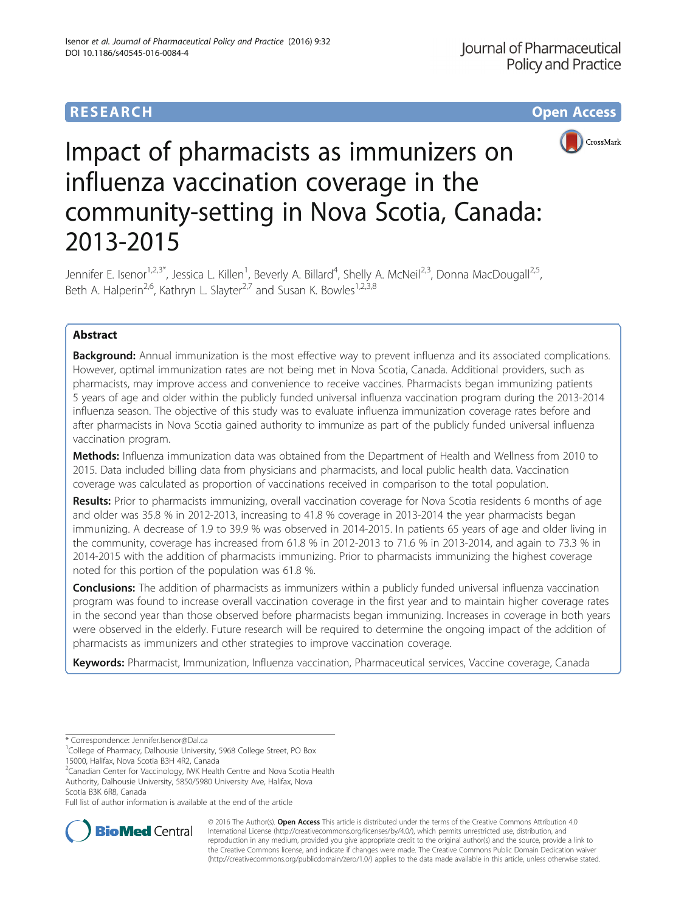## **RESEARCH CHE Open Access**



# Impact of pharmacists as immunizers on influenza vaccination coverage in the community-setting in Nova Scotia, Canada: 2013-2015

Jennifer E. Isenor<sup>1,2,3\*</sup>, Jessica L. Killen<sup>1</sup>, Beverly A. Billard<sup>4</sup>, Shelly A. McNeil<sup>2,3</sup>, Donna MacDougall<sup>2,5</sup>, Beth A. Halperin<sup>2,6</sup>, Kathryn L. Slayter<sup>2,7</sup> and Susan K. Bowles<sup>1,2,3,8</sup>

### Abstract

Background: Annual immunization is the most effective way to prevent influenza and its associated complications. However, optimal immunization rates are not being met in Nova Scotia, Canada. Additional providers, such as pharmacists, may improve access and convenience to receive vaccines. Pharmacists began immunizing patients 5 years of age and older within the publicly funded universal influenza vaccination program during the 2013-2014 influenza season. The objective of this study was to evaluate influenza immunization coverage rates before and after pharmacists in Nova Scotia gained authority to immunize as part of the publicly funded universal influenza vaccination program.

Methods: Influenza immunization data was obtained from the Department of Health and Wellness from 2010 to 2015. Data included billing data from physicians and pharmacists, and local public health data. Vaccination coverage was calculated as proportion of vaccinations received in comparison to the total population.

Results: Prior to pharmacists immunizing, overall vaccination coverage for Nova Scotia residents 6 months of age and older was 35.8 % in 2012-2013, increasing to 41.8 % coverage in 2013-2014 the year pharmacists began immunizing. A decrease of 1.9 to 39.9 % was observed in 2014-2015. In patients 65 years of age and older living in the community, coverage has increased from 61.8 % in 2012-2013 to 71.6 % in 2013-2014, and again to 73.3 % in 2014-2015 with the addition of pharmacists immunizing. Prior to pharmacists immunizing the highest coverage noted for this portion of the population was 61.8 %.

**Conclusions:** The addition of pharmacists as immunizers within a publicly funded universal influenza vaccination program was found to increase overall vaccination coverage in the first year and to maintain higher coverage rates in the second year than those observed before pharmacists began immunizing. Increases in coverage in both years were observed in the elderly. Future research will be required to determine the ongoing impact of the addition of pharmacists as immunizers and other strategies to improve vaccination coverage.

Keywords: Pharmacist, Immunization, Influenza vaccination, Pharmaceutical services, Vaccine coverage, Canada

\* Correspondence: [Jennifer.Isenor@Dal.ca](mailto:Jennifer.Isenor@Dal.ca) <sup>1</sup>

<sup>1</sup>College of Pharmacy, Dalhousie University, 5968 College Street, PO Box

15000, Halifax, Nova Scotia B3H 4R2, Canada

<sup>2</sup>Canadian Center for Vaccinology, IWK Health Centre and Nova Scotia Health Authority, Dalhousie University, 5850/5980 University Ave, Halifax, Nova Scotia B3K 6R8, Canada

Full list of author information is available at the end of the article



© 2016 The Author(s). Open Access This article is distributed under the terms of the Creative Commons Attribution 4.0 International License [\(http://creativecommons.org/licenses/by/4.0/](http://creativecommons.org/licenses/by/4.0/)), which permits unrestricted use, distribution, and reproduction in any medium, provided you give appropriate credit to the original author(s) and the source, provide a link to the Creative Commons license, and indicate if changes were made. The Creative Commons Public Domain Dedication waiver [\(http://creativecommons.org/publicdomain/zero/1.0/](http://creativecommons.org/publicdomain/zero/1.0/)) applies to the data made available in this article, unless otherwise stated.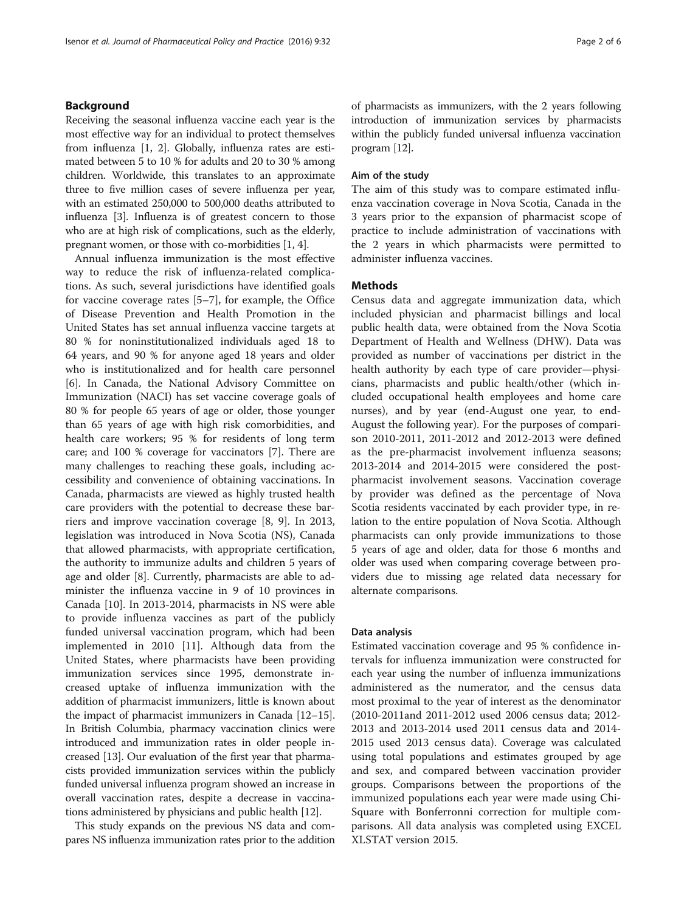#### Background

Receiving the seasonal influenza vaccine each year is the most effective way for an individual to protect themselves from influenza [\[1](#page-5-0), [2\]](#page-5-0). Globally, influenza rates are estimated between 5 to 10 % for adults and 20 to 30 % among children. Worldwide, this translates to an approximate three to five million cases of severe influenza per year, with an estimated 250,000 to 500,000 deaths attributed to influenza [\[3](#page-5-0)]. Influenza is of greatest concern to those who are at high risk of complications, such as the elderly, pregnant women, or those with co-morbidities [[1](#page-5-0), [4\]](#page-5-0).

Annual influenza immunization is the most effective way to reduce the risk of influenza-related complications. As such, several jurisdictions have identified goals for vaccine coverage rates [[5](#page-5-0)–[7](#page-5-0)], for example, the Office of Disease Prevention and Health Promotion in the United States has set annual influenza vaccine targets at 80 % for noninstitutionalized individuals aged 18 to 64 years, and 90 % for anyone aged 18 years and older who is institutionalized and for health care personnel [[6\]](#page-5-0). In Canada, the National Advisory Committee on Immunization (NACI) has set vaccine coverage goals of 80 % for people 65 years of age or older, those younger than 65 years of age with high risk comorbidities, and health care workers; 95 % for residents of long term care; and 100 % coverage for vaccinators [[7\]](#page-5-0). There are many challenges to reaching these goals, including accessibility and convenience of obtaining vaccinations. In Canada, pharmacists are viewed as highly trusted health care providers with the potential to decrease these barriers and improve vaccination coverage [[8, 9](#page-5-0)]. In 2013, legislation was introduced in Nova Scotia (NS), Canada that allowed pharmacists, with appropriate certification, the authority to immunize adults and children 5 years of age and older [\[8](#page-5-0)]. Currently, pharmacists are able to administer the influenza vaccine in 9 of 10 provinces in Canada [[10](#page-5-0)]. In 2013-2014, pharmacists in NS were able to provide influenza vaccines as part of the publicly funded universal vaccination program, which had been implemented in 2010 [[11\]](#page-5-0). Although data from the United States, where pharmacists have been providing immunization services since 1995, demonstrate increased uptake of influenza immunization with the addition of pharmacist immunizers, little is known about the impact of pharmacist immunizers in Canada [\[12](#page-5-0)–[15](#page-5-0)]. In British Columbia, pharmacy vaccination clinics were introduced and immunization rates in older people increased [\[13](#page-5-0)]. Our evaluation of the first year that pharmacists provided immunization services within the publicly funded universal influenza program showed an increase in overall vaccination rates, despite a decrease in vaccinations administered by physicians and public health [\[12\]](#page-5-0).

This study expands on the previous NS data and compares NS influenza immunization rates prior to the addition of pharmacists as immunizers, with the 2 years following introduction of immunization services by pharmacists within the publicly funded universal influenza vaccination program [\[12](#page-5-0)].

#### Aim of the study

The aim of this study was to compare estimated influenza vaccination coverage in Nova Scotia, Canada in the 3 years prior to the expansion of pharmacist scope of practice to include administration of vaccinations with the 2 years in which pharmacists were permitted to administer influenza vaccines.

#### **Methods**

Census data and aggregate immunization data, which included physician and pharmacist billings and local public health data, were obtained from the Nova Scotia Department of Health and Wellness (DHW). Data was provided as number of vaccinations per district in the health authority by each type of care provider—physicians, pharmacists and public health/other (which included occupational health employees and home care nurses), and by year (end-August one year, to end-August the following year). For the purposes of comparison 2010-2011, 2011-2012 and 2012-2013 were defined as the pre-pharmacist involvement influenza seasons; 2013-2014 and 2014-2015 were considered the postpharmacist involvement seasons. Vaccination coverage by provider was defined as the percentage of Nova Scotia residents vaccinated by each provider type, in relation to the entire population of Nova Scotia. Although pharmacists can only provide immunizations to those 5 years of age and older, data for those 6 months and older was used when comparing coverage between providers due to missing age related data necessary for alternate comparisons.

#### Data analysis

Estimated vaccination coverage and 95 % confidence intervals for influenza immunization were constructed for each year using the number of influenza immunizations administered as the numerator, and the census data most proximal to the year of interest as the denominator (2010-2011and 2011-2012 used 2006 census data; 2012- 2013 and 2013-2014 used 2011 census data and 2014- 2015 used 2013 census data). Coverage was calculated using total populations and estimates grouped by age and sex, and compared between vaccination provider groups. Comparisons between the proportions of the immunized populations each year were made using Chi-Square with Bonferronni correction for multiple comparisons. All data analysis was completed using EXCEL XLSTAT version 2015.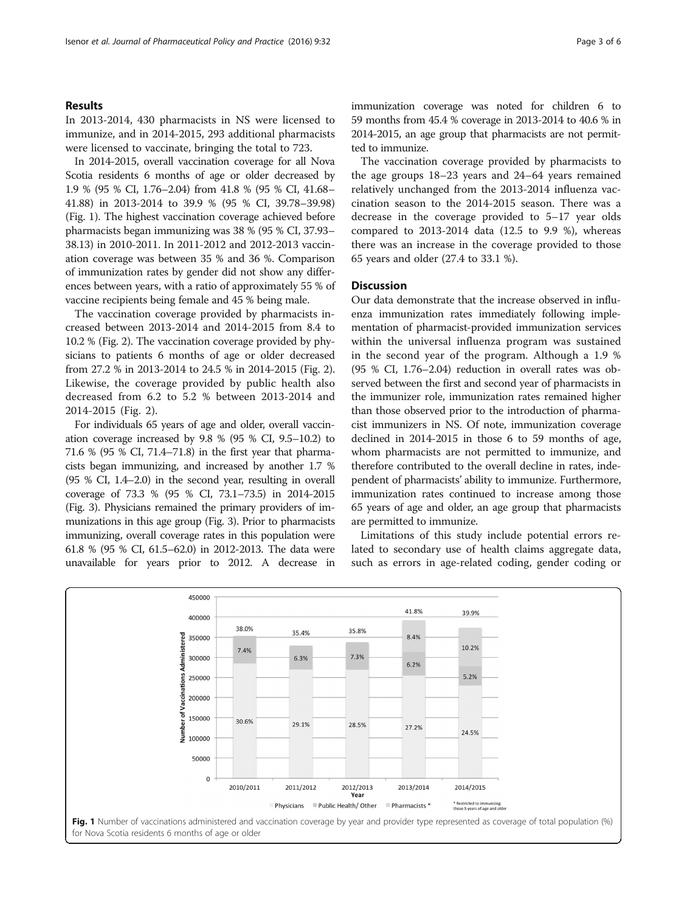#### Results

In 2013-2014, 430 pharmacists in NS were licensed to immunize, and in 2014-2015, 293 additional pharmacists were licensed to vaccinate, bringing the total to 723.

In 2014-2015, overall vaccination coverage for all Nova Scotia residents 6 months of age or older decreased by 1.9 % (95 % CI, 1.76–2.04) from 41.8 % (95 % CI, 41.68– 41.88) in 2013-2014 to 39.9 % (95 % CI, 39.78–39.98) (Fig. 1). The highest vaccination coverage achieved before pharmacists began immunizing was 38 % (95 % CI, 37.93– 38.13) in 2010-2011. In 2011-2012 and 2012-2013 vaccination coverage was between 35 % and 36 %. Comparison of immunization rates by gender did not show any differences between years, with a ratio of approximately 55 % of vaccine recipients being female and 45 % being male.

The vaccination coverage provided by pharmacists increased between 2013-2014 and 2014-2015 from 8.4 to 10.2 % (Fig. [2](#page-3-0)). The vaccination coverage provided by physicians to patients 6 months of age or older decreased from 27.2 % in 2013-2014 to 24.5 % in 2014-2015 (Fig. [2](#page-3-0)). Likewise, the coverage provided by public health also decreased from 6.2 to 5.2 % between 2013-2014 and 2014-2015 (Fig. [2](#page-3-0)).

For individuals 65 years of age and older, overall vaccination coverage increased by 9.8 % (95 % CI, 9.5–10.2) to 71.6 % (95 % CI, 71.4–71.8) in the first year that pharmacists began immunizing, and increased by another 1.7 % (95 % CI, 1.4–2.0) in the second year, resulting in overall coverage of 73.3 % (95 % CI, 73.1–73.5) in 2014-2015 (Fig. [3\)](#page-3-0). Physicians remained the primary providers of immunizations in this age group (Fig. [3](#page-3-0)). Prior to pharmacists immunizing, overall coverage rates in this population were 61.8 % (95 % CI, 61.5–62.0) in 2012-2013. The data were unavailable for years prior to 2012. A decrease in immunization coverage was noted for children 6 to 59 months from 45.4 % coverage in 2013-2014 to 40.6 % in 2014-2015, an age group that pharmacists are not permitted to immunize.

The vaccination coverage provided by pharmacists to the age groups 18–23 years and 24–64 years remained relatively unchanged from the 2013-2014 influenza vaccination season to the 2014-2015 season. There was a decrease in the coverage provided to 5–17 year olds compared to 2013-2014 data (12.5 to 9.9 %), whereas there was an increase in the coverage provided to those 65 years and older (27.4 to 33.1 %).

#### **Discussion**

Our data demonstrate that the increase observed in influenza immunization rates immediately following implementation of pharmacist-provided immunization services within the universal influenza program was sustained in the second year of the program. Although a 1.9 % (95 % CI, 1.76–2.04) reduction in overall rates was observed between the first and second year of pharmacists in the immunizer role, immunization rates remained higher than those observed prior to the introduction of pharmacist immunizers in NS. Of note, immunization coverage declined in 2014-2015 in those 6 to 59 months of age, whom pharmacists are not permitted to immunize, and therefore contributed to the overall decline in rates, independent of pharmacists' ability to immunize. Furthermore, immunization rates continued to increase among those 65 years of age and older, an age group that pharmacists are permitted to immunize.

Limitations of this study include potential errors related to secondary use of health claims aggregate data, such as errors in age-related coding, gender coding or



for Nova Scotia residents 6 months of age or older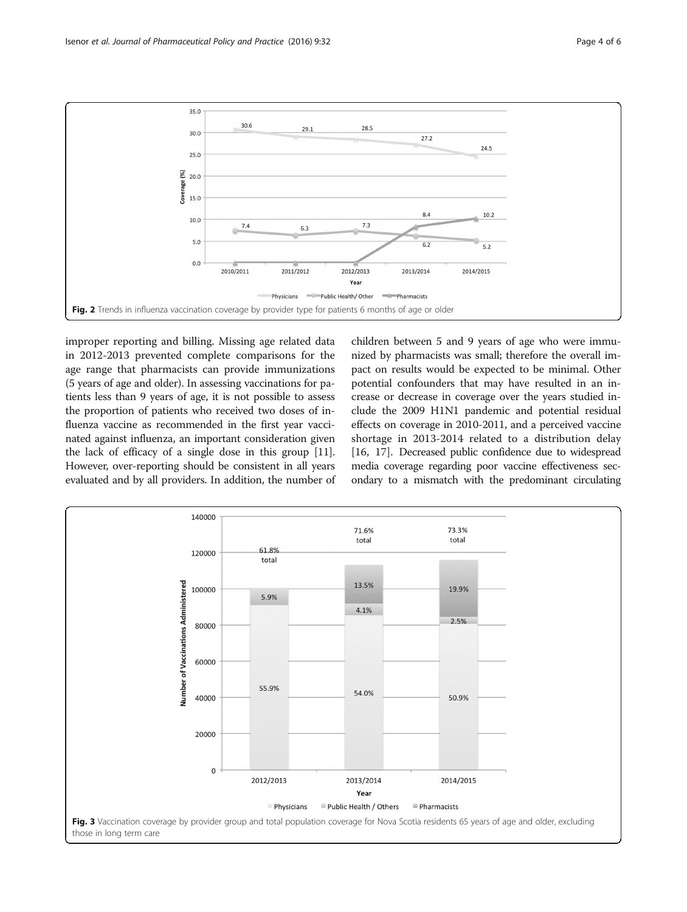<span id="page-3-0"></span>

improper reporting and billing. Missing age related data in 2012-2013 prevented complete comparisons for the age range that pharmacists can provide immunizations (5 years of age and older). In assessing vaccinations for patients less than 9 years of age, it is not possible to assess the proportion of patients who received two doses of influenza vaccine as recommended in the first year vaccinated against influenza, an important consideration given the lack of efficacy of a single dose in this group [[11](#page-5-0)]. However, over-reporting should be consistent in all years evaluated and by all providers. In addition, the number of children between 5 and 9 years of age who were immunized by pharmacists was small; therefore the overall impact on results would be expected to be minimal. Other potential confounders that may have resulted in an increase or decrease in coverage over the years studied include the 2009 H1N1 pandemic and potential residual effects on coverage in 2010-2011, and a perceived vaccine shortage in 2013-2014 related to a distribution delay [[16, 17](#page-5-0)]. Decreased public confidence due to widespread media coverage regarding poor vaccine effectiveness secondary to a mismatch with the predominant circulating

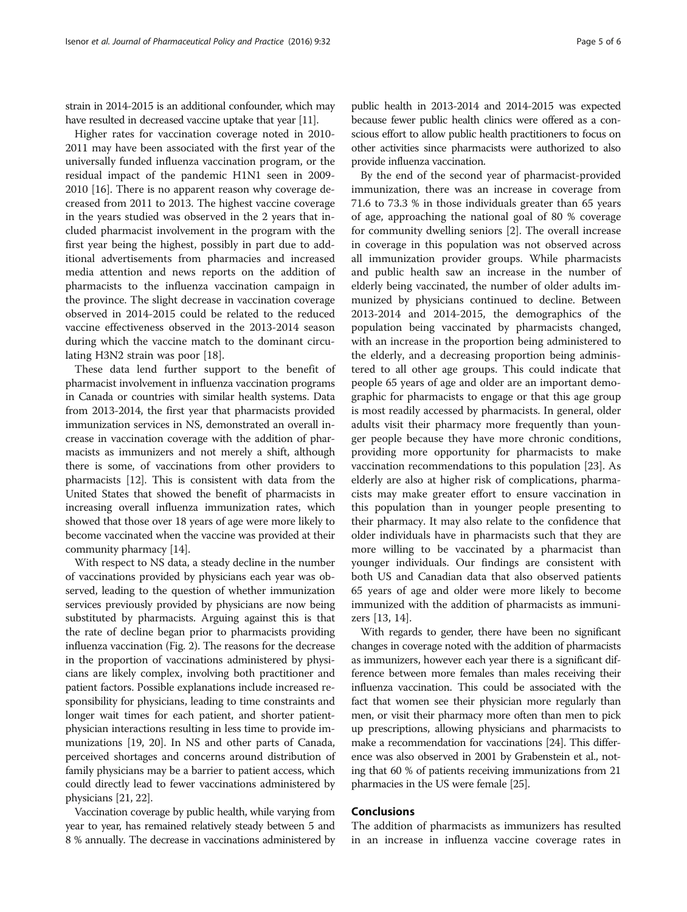strain in 2014-2015 is an additional confounder, which may have resulted in decreased vaccine uptake that year [\[11](#page-5-0)].

Higher rates for vaccination coverage noted in 2010- 2011 may have been associated with the first year of the universally funded influenza vaccination program, or the residual impact of the pandemic H1N1 seen in 2009- 2010 [\[16](#page-5-0)]. There is no apparent reason why coverage decreased from 2011 to 2013. The highest vaccine coverage in the years studied was observed in the 2 years that included pharmacist involvement in the program with the first year being the highest, possibly in part due to additional advertisements from pharmacies and increased media attention and news reports on the addition of pharmacists to the influenza vaccination campaign in the province. The slight decrease in vaccination coverage observed in 2014-2015 could be related to the reduced vaccine effectiveness observed in the 2013-2014 season during which the vaccine match to the dominant circulating H3N2 strain was poor [\[18](#page-5-0)].

These data lend further support to the benefit of pharmacist involvement in influenza vaccination programs in Canada or countries with similar health systems. Data from 2013-2014, the first year that pharmacists provided immunization services in NS, demonstrated an overall increase in vaccination coverage with the addition of pharmacists as immunizers and not merely a shift, although there is some, of vaccinations from other providers to pharmacists [\[12](#page-5-0)]. This is consistent with data from the United States that showed the benefit of pharmacists in increasing overall influenza immunization rates, which showed that those over 18 years of age were more likely to become vaccinated when the vaccine was provided at their community pharmacy [\[14\]](#page-5-0).

With respect to NS data, a steady decline in the number of vaccinations provided by physicians each year was observed, leading to the question of whether immunization services previously provided by physicians are now being substituted by pharmacists. Arguing against this is that the rate of decline began prior to pharmacists providing influenza vaccination (Fig. [2](#page-3-0)). The reasons for the decrease in the proportion of vaccinations administered by physicians are likely complex, involving both practitioner and patient factors. Possible explanations include increased responsibility for physicians, leading to time constraints and longer wait times for each patient, and shorter patientphysician interactions resulting in less time to provide immunizations [\[19, 20\]](#page-5-0). In NS and other parts of Canada, perceived shortages and concerns around distribution of family physicians may be a barrier to patient access, which could directly lead to fewer vaccinations administered by physicians [\[21, 22](#page-5-0)].

Vaccination coverage by public health, while varying from year to year, has remained relatively steady between 5 and 8 % annually. The decrease in vaccinations administered by

public health in 2013-2014 and 2014-2015 was expected because fewer public health clinics were offered as a conscious effort to allow public health practitioners to focus on other activities since pharmacists were authorized to also provide influenza vaccination.

By the end of the second year of pharmacist-provided immunization, there was an increase in coverage from 71.6 to 73.3 % in those individuals greater than 65 years of age, approaching the national goal of 80 % coverage for community dwelling seniors [\[2](#page-5-0)]. The overall increase in coverage in this population was not observed across all immunization provider groups. While pharmacists and public health saw an increase in the number of elderly being vaccinated, the number of older adults immunized by physicians continued to decline. Between 2013-2014 and 2014-2015, the demographics of the population being vaccinated by pharmacists changed, with an increase in the proportion being administered to the elderly, and a decreasing proportion being administered to all other age groups. This could indicate that people 65 years of age and older are an important demographic for pharmacists to engage or that this age group is most readily accessed by pharmacists. In general, older adults visit their pharmacy more frequently than younger people because they have more chronic conditions, providing more opportunity for pharmacists to make vaccination recommendations to this population [[23](#page-5-0)]. As elderly are also at higher risk of complications, pharmacists may make greater effort to ensure vaccination in this population than in younger people presenting to their pharmacy. It may also relate to the confidence that older individuals have in pharmacists such that they are more willing to be vaccinated by a pharmacist than younger individuals. Our findings are consistent with both US and Canadian data that also observed patients 65 years of age and older were more likely to become immunized with the addition of pharmacists as immunizers [[13, 14\]](#page-5-0).

With regards to gender, there have been no significant changes in coverage noted with the addition of pharmacists as immunizers, however each year there is a significant difference between more females than males receiving their influenza vaccination. This could be associated with the fact that women see their physician more regularly than men, or visit their pharmacy more often than men to pick up prescriptions, allowing physicians and pharmacists to make a recommendation for vaccinations [\[24\]](#page-5-0). This difference was also observed in 2001 by Grabenstein et al., noting that 60 % of patients receiving immunizations from 21 pharmacies in the US were female [\[25\]](#page-5-0).

#### Conclusions

The addition of pharmacists as immunizers has resulted in an increase in influenza vaccine coverage rates in